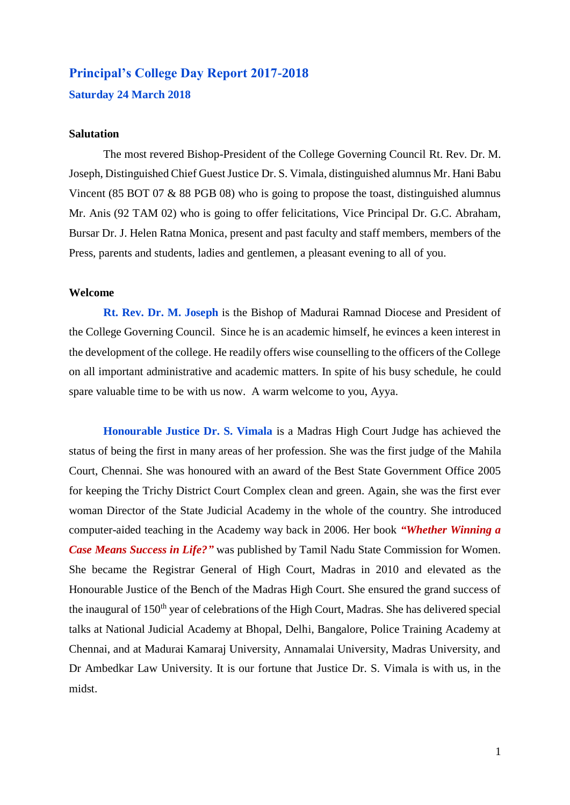# **Principal's College Day Report 2017-2018 Saturday 24 March 2018**

## **Salutation**

The most revered Bishop-President of the College Governing Council Rt. Rev. Dr. M. Joseph, Distinguished Chief Guest Justice Dr. S. Vimala, distinguished alumnus Mr. Hani Babu Vincent (85 BOT 07 & 88 PGB 08) who is going to propose the toast, distinguished alumnus Mr. Anis (92 TAM 02) who is going to offer felicitations, Vice Principal Dr. G.C. Abraham, Bursar Dr. J. Helen Ratna Monica, present and past faculty and staff members, members of the Press, parents and students, ladies and gentlemen, a pleasant evening to all of you.

# **Welcome**

**Rt. Rev. Dr. M. Joseph** is the Bishop of Madurai Ramnad Diocese and President of the College Governing Council. Since he is an academic himself, he evinces a keen interest in the development of the college. He readily offers wise counselling to the officers of the College on all important administrative and academic matters. In spite of his busy schedule, he could spare valuable time to be with us now. A warm welcome to you, Ayya.

**Honourable Justice Dr. S. Vimala** is a Madras High Court Judge has achieved the status of being the first in many areas of her profession. She was the first judge of the Mahila Court, Chennai. She was honoured with an award of the Best State Government Office 2005 for keeping the Trichy District Court Complex clean and green. Again, she was the first ever woman Director of the State Judicial Academy in the whole of the country. She introduced computer-aided teaching in the Academy way back in 2006. Her book *"Whether Winning a Case Means Success in Life?"* was published by Tamil Nadu State Commission for Women. She became the Registrar General of High Court, Madras in 2010 and elevated as the Honourable Justice of the Bench of the Madras High Court. She ensured the grand success of the inaugural of 150<sup>th</sup> year of celebrations of the High Court, Madras. She has delivered special talks at National Judicial Academy at Bhopal, Delhi, Bangalore, Police Training Academy at Chennai, and at Madurai Kamaraj University, Annamalai University, Madras University, and Dr Ambedkar Law University. It is our fortune that Justice Dr. S. Vimala is with us, in the midst.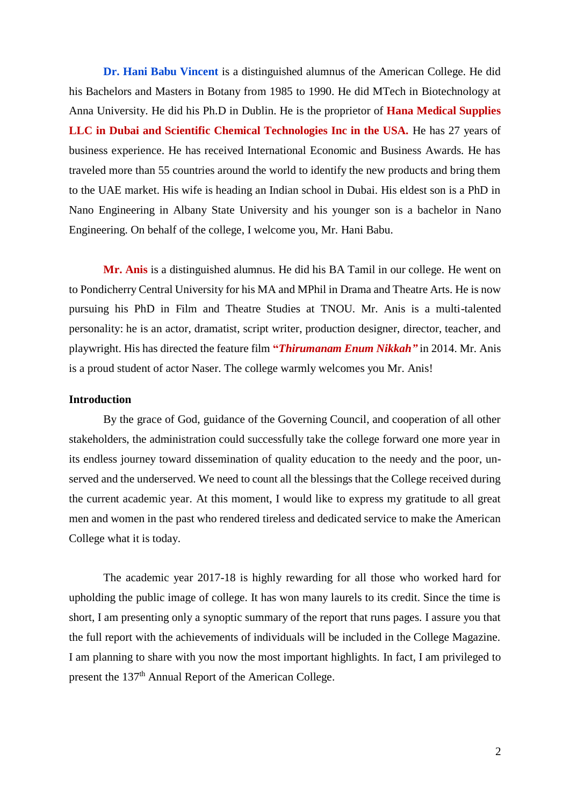**Dr. Hani Babu Vincent** is a distinguished alumnus of the American College. He did his Bachelors and Masters in Botany from 1985 to 1990. He did MTech in Biotechnology at Anna University. He did his Ph.D in Dublin. He is the proprietor of **Hana Medical Supplies LLC in Dubai and Scientific Chemical Technologies Inc in the USA.** He has 27 years of business experience. He has received International Economic and Business Awards. He has traveled more than 55 countries around the world to identify the new products and bring them to the UAE market. His wife is heading an Indian school in Dubai. His eldest son is a PhD in Nano Engineering in Albany State University and his younger son is a bachelor in Nano Engineering. On behalf of the college, I welcome you, Mr. Hani Babu.

**Mr. Anis** is a distinguished alumnus. He did his BA Tamil in our college. He went on to Pondicherry Central University for his MA and MPhil in Drama and Theatre Arts. He is now pursuing his PhD in Film and Theatre Studies at TNOU. Mr. Anis is a multi-talented personality: he is an actor, dramatist, script writer, production designer, director, teacher, and playwright. His has directed the feature film **"***Thirumanam Enum Nikkah"* in 2014. Mr. Anis is a proud student of actor Naser. The college warmly welcomes you Mr. Anis!

# **Introduction**

By the grace of God, guidance of the Governing Council, and cooperation of all other stakeholders, the administration could successfully take the college forward one more year in its endless journey toward dissemination of quality education to the needy and the poor, unserved and the underserved. We need to count all the blessings that the College received during the current academic year. At this moment, I would like to express my gratitude to all great men and women in the past who rendered tireless and dedicated service to make the American College what it is today.

The academic year 2017-18 is highly rewarding for all those who worked hard for upholding the public image of college. It has won many laurels to its credit. Since the time is short, I am presenting only a synoptic summary of the report that runs pages. I assure you that the full report with the achievements of individuals will be included in the College Magazine. I am planning to share with you now the most important highlights. In fact, I am privileged to present the 137<sup>th</sup> Annual Report of the American College.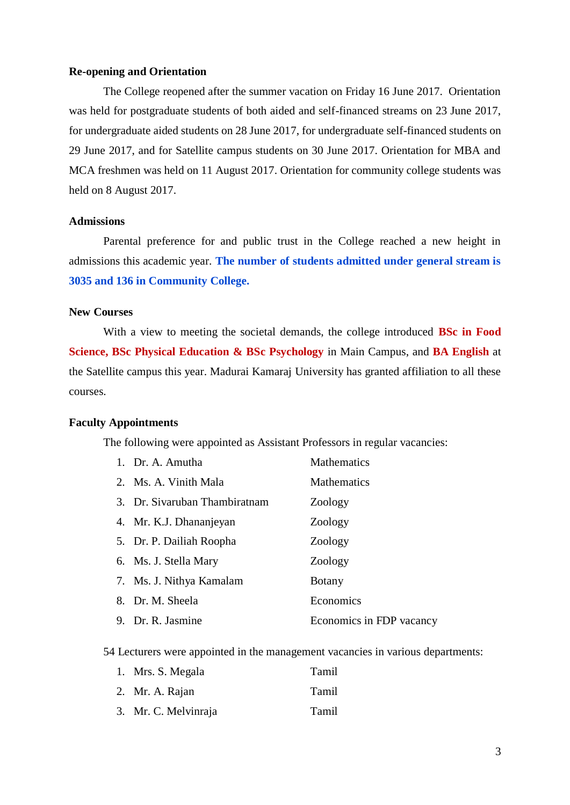# **Re-opening and Orientation**

The College reopened after the summer vacation on Friday 16 June 2017. Orientation was held for postgraduate students of both aided and self-financed streams on 23 June 2017, for undergraduate aided students on 28 June 2017, for undergraduate self-financed students on 29 June 2017, and for Satellite campus students on 30 June 2017. Orientation for MBA and MCA freshmen was held on 11 August 2017. Orientation for community college students was held on 8 August 2017.

# **Admissions**

Parental preference for and public trust in the College reached a new height in admissions this academic year. **The number of students admitted under general stream is 3035 and 136 in Community College.**

# **New Courses**

With a view to meeting the societal demands, the college introduced **BSc in Food Science, BSc Physical Education & BSc Psychology** in Main Campus, and **BA English** at the Satellite campus this year. Madurai Kamaraj University has granted affiliation to all these courses.

#### **Faculty Appointments**

The following were appointed as Assistant Professors in regular vacancies:

| 1. Dr. A. Amutha              | Mathematics              |
|-------------------------------|--------------------------|
| 2. Ms. A. Vinith Mala         | <b>Mathematics</b>       |
| 3. Dr. Sivaruban Thambiratnam | Zoology                  |
| 4. Mr. K.J. Dhananjeyan       | Zoology                  |
| 5. Dr. P. Dailiah Roopha      | Zoology                  |
| 6. Ms. J. Stella Mary         | Zoology                  |
| 7. Ms. J. Nithya Kamalam      | <b>Botany</b>            |
| 8. Dr. M. Sheela              | Economics                |
| 9. Dr. R. Jasmine             | Economics in FDP vacancy |

54 Lecturers were appointed in the management vacancies in various departments:

| 1. Mrs. S. Megala    | Tamil |
|----------------------|-------|
| 2. Mr. A. Rajan      | Tamil |
| 3. Mr. C. Melvinraja | Tamil |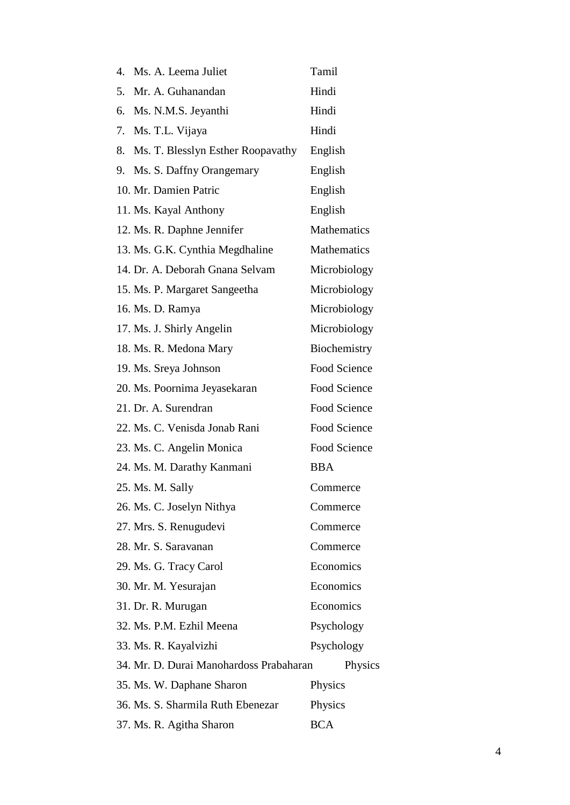| 4. | Ms. A. Leema Juliet                     | Tamil              |
|----|-----------------------------------------|--------------------|
| 5. | Mr. A. Guhanandan                       | Hindi              |
| 6. | Ms. N.M.S. Jeyanthi                     | Hindi              |
| 7. | Ms. T.L. Vijaya                         | Hindi              |
| 8. | Ms. T. Blesslyn Esther Roopavathy       | English            |
| 9. | Ms. S. Daffny Orangemary                | English            |
|    | 10. Mr. Damien Patric                   | English            |
|    | 11. Ms. Kayal Anthony                   | English            |
|    | 12. Ms. R. Daphne Jennifer              | <b>Mathematics</b> |
|    | 13. Ms. G.K. Cynthia Megdhaline         | <b>Mathematics</b> |
|    | 14. Dr. A. Deborah Gnana Selvam         | Microbiology       |
|    | 15. Ms. P. Margaret Sangeetha           | Microbiology       |
|    | 16. Ms. D. Ramya                        | Microbiology       |
|    | 17. Ms. J. Shirly Angelin               | Microbiology       |
|    | 18. Ms. R. Medona Mary                  | Biochemistry       |
|    | 19. Ms. Sreya Johnson                   | Food Science       |
|    | 20. Ms. Poornima Jeyasekaran            | Food Science       |
|    | 21. Dr. A. Surendran                    | Food Science       |
|    | 22. Ms. C. Venisda Jonab Rani           | Food Science       |
|    | 23. Ms. C. Angelin Monica               | Food Science       |
|    | 24. Ms. M. Darathy Kanmani              | <b>BBA</b>         |
|    | 25. Ms. M. Sally                        | Commerce           |
|    | 26. Ms. C. Joselyn Nithya               | Commerce           |
|    | 27. Mrs. S. Renugudevi                  | Commerce           |
|    | 28. Mr. S. Saravanan                    | Commerce           |
|    | 29. Ms. G. Tracy Carol                  | Economics          |
|    | 30. Mr. M. Yesurajan                    | Economics          |
|    | 31. Dr. R. Murugan                      | Economics          |
|    | 32. Ms. P.M. Ezhil Meena                | Psychology         |
|    | 33. Ms. R. Kayalvizhi                   | Psychology         |
|    | 34. Mr. D. Durai Manohardoss Prabaharan | Physics            |
|    | 35. Ms. W. Daphane Sharon               | Physics            |
|    | 36. Ms. S. Sharmila Ruth Ebenezar       | Physics            |
|    | 37. Ms. R. Agitha Sharon                | <b>BCA</b>         |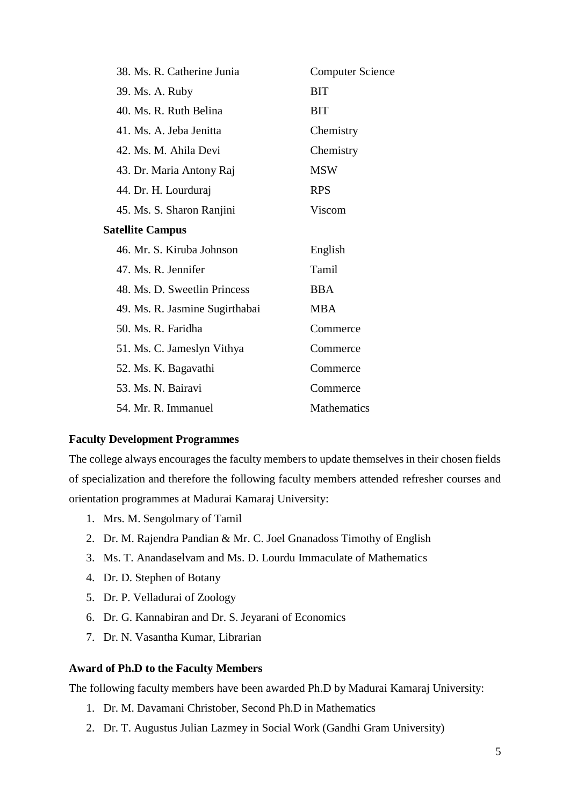| 38. Ms. R. Catherine Junia     | <b>Computer Science</b> |
|--------------------------------|-------------------------|
| 39. Ms. A. Ruby                | <b>BIT</b>              |
| 40. Ms. R. Ruth Belina         | <b>BIT</b>              |
| 41. Ms. A. Jeba Jenitta        | Chemistry               |
| 42. Ms. M. Ahila Devi          | Chemistry               |
| 43. Dr. Maria Antony Raj       | <b>MSW</b>              |
| 44. Dr. H. Lourduraj           | <b>RPS</b>              |
| 45. Ms. S. Sharon Ranjini      | Viscom                  |
| <b>Satellite Campus</b>        |                         |
| 46. Mr. S. Kiruba Johnson      | English                 |
| 47. Ms. R. Jennifer            | Tamil                   |
| 48. Ms. D. Sweetlin Princess   | <b>BBA</b>              |
| 49. Ms. R. Jasmine Sugirthabai | <b>MBA</b>              |
| 50. Ms. R. Faridha             | Commerce                |
| 51. Ms. C. Jameslyn Vithya     | Commerce                |
| 52. Ms. K. Bagavathi           | Commerce                |
| 53. Ms. N. Bairavi             | Commerce                |
| 54. Mr. R. Immanuel            | <b>Mathematics</b>      |

# **Faculty Development Programmes**

The college always encourages the faculty members to update themselves in their chosen fields of specialization and therefore the following faculty members attended refresher courses and orientation programmes at Madurai Kamaraj University:

- 1. Mrs. M. Sengolmary of Tamil
- 2. Dr. M. Rajendra Pandian & Mr. C. Joel Gnanadoss Timothy of English
- 3. Ms. T. Anandaselvam and Ms. D. Lourdu Immaculate of Mathematics
- 4. Dr. D. Stephen of Botany
- 5. Dr. P. Velladurai of Zoology
- 6. Dr. G. Kannabiran and Dr. S. Jeyarani of Economics
- 7. Dr. N. Vasantha Kumar, Librarian

## **Award of Ph.D to the Faculty Members**

The following faculty members have been awarded Ph.D by Madurai Kamaraj University:

- 1. Dr. M. Davamani Christober, Second Ph.D in Mathematics
- 2. Dr. T. Augustus Julian Lazmey in Social Work (Gandhi Gram University)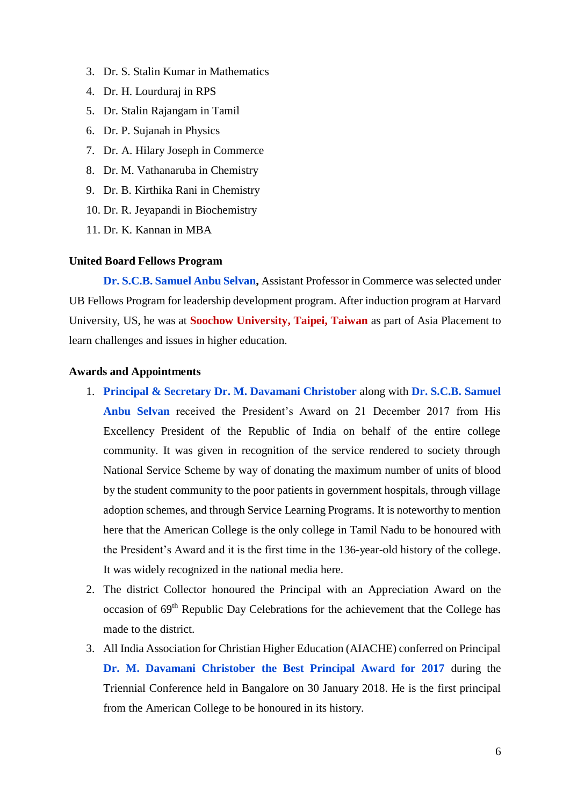- 3. Dr. S. Stalin Kumar in Mathematics
- 4. Dr. H. Lourduraj in RPS
- 5. Dr. Stalin Rajangam in Tamil
- 6. Dr. P. Sujanah in Physics
- 7. Dr. A. Hilary Joseph in Commerce
- 8. Dr. M. Vathanaruba in Chemistry
- 9. Dr. B. Kirthika Rani in Chemistry
- 10. Dr. R. Jeyapandi in Biochemistry
- 11. Dr. K. Kannan in MBA

#### **United Board Fellows Program**

**Dr. S.C.B. Samuel Anbu Selvan,** Assistant Professor in Commerce was selected under UB Fellows Program for leadership development program. After induction program at Harvard University, US, he was at **Soochow University, Taipei, Taiwan** as part of Asia Placement to learn challenges and issues in higher education.

# **Awards and Appointments**

- 1. **Principal & Secretary Dr. M. Davamani Christober** along with **Dr. S.C.B. Samuel Anbu Selvan** received the President's Award on 21 December 2017 from His Excellency President of the Republic of India on behalf of the entire college community. It was given in recognition of the service rendered to society through National Service Scheme by way of donating the maximum number of units of blood by the student community to the poor patients in government hospitals, through village adoption schemes, and through Service Learning Programs. It is noteworthy to mention here that the American College is the only college in Tamil Nadu to be honoured with the President's Award and it is the first time in the 136-year-old history of the college. It was widely recognized in the national media here.
- 2. The district Collector honoured the Principal with an Appreciation Award on the occasion of 69th Republic Day Celebrations for the achievement that the College has made to the district.
- 3. All India Association for Christian Higher Education (AIACHE) conferred on Principal **Dr. M. Davamani Christober the Best Principal Award for 2017** during the Triennial Conference held in Bangalore on 30 January 2018. He is the first principal from the American College to be honoured in its history.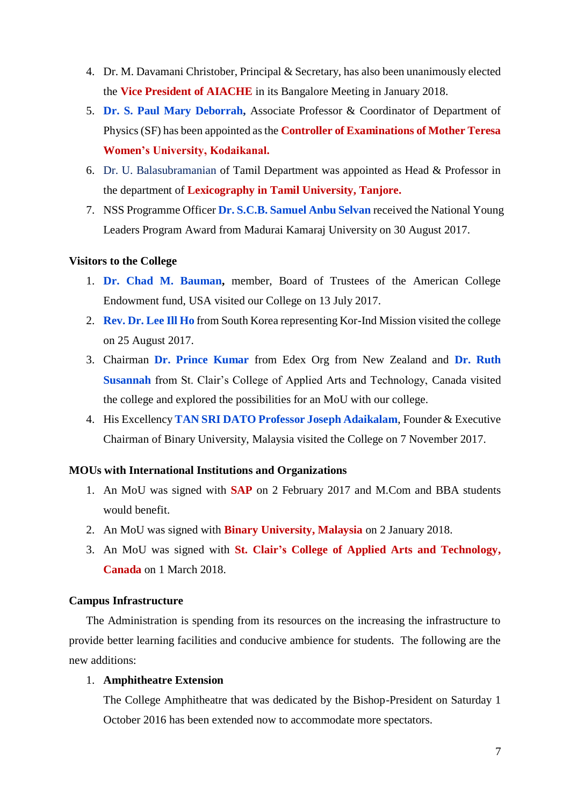- 4. Dr. M. Davamani Christober, Principal & Secretary, has also been unanimously elected the **Vice President of AIACHE** in its Bangalore Meeting in January 2018.
- 5. **Dr. S. Paul Mary Deborrah,** Associate Professor & Coordinator of Department of Physics (SF) has been appointed as the **Controller of Examinations of Mother Teresa Women's University, Kodaikanal.**
- 6. Dr. U. Balasubramanian of Tamil Department was appointed as Head & Professor in the department of **Lexicography in Tamil University, Tanjore.**
- 7. NSS Programme Officer **Dr. S.C.B. Samuel Anbu Selvan** received the National Young Leaders Program Award from Madurai Kamaraj University on 30 August 2017.

## **Visitors to the College**

- 1. **Dr. Chad M. Bauman,** member, Board of Trustees of the American College Endowment fund, USA visited our College on 13 July 2017.
- 2. **Rev. Dr. Lee Ill Ho** from South Korea representing Kor-Ind Mission visited the college on 25 August 2017.
- 3. Chairman **Dr. Prince Kumar** from Edex Org from New Zealand and **Dr. Ruth Susannah** from St. Clair's College of Applied Arts and Technology, Canada visited the college and explored the possibilities for an MoU with our college.
- 4. His Excellency **TAN SRI DATO Professor Joseph Adaikalam**, Founder & Executive Chairman of Binary University, Malaysia visited the College on 7 November 2017.

## **MOUs with International Institutions and Organizations**

- 1. An MoU was signed with **SAP** on 2 February 2017 and M.Com and BBA students would benefit.
- 2. An MoU was signed with **Binary University, Malaysia** on 2 January 2018.
- 3. An MoU was signed with **St. Clair's College of Applied Arts and Technology, Canada** on 1 March 2018.

## **Campus Infrastructure**

The Administration is spending from its resources on the increasing the infrastructure to provide better learning facilities and conducive ambience for students. The following are the new additions:

# 1. **Amphitheatre Extension**

The College Amphitheatre that was dedicated by the Bishop-President on Saturday 1 October 2016 has been extended now to accommodate more spectators.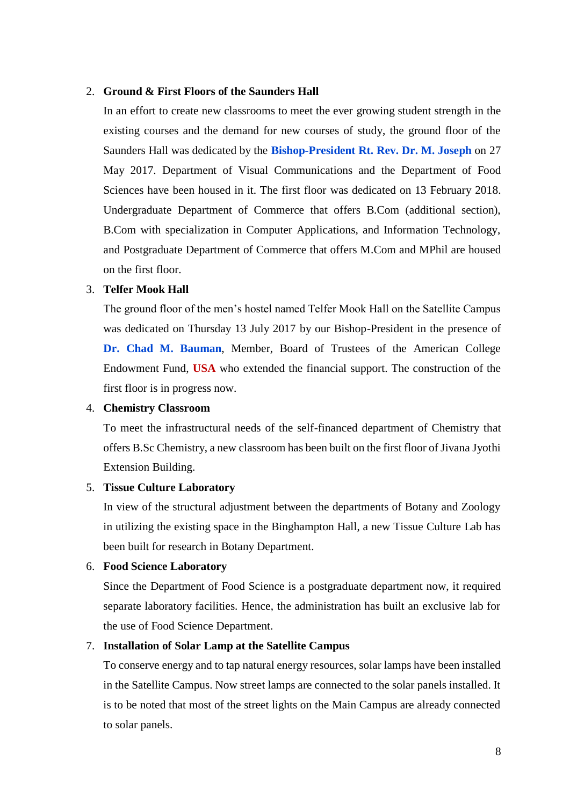## 2. **Ground & First Floors of the Saunders Hall**

In an effort to create new classrooms to meet the ever growing student strength in the existing courses and the demand for new courses of study, the ground floor of the Saunders Hall was dedicated by the **Bishop-President Rt. Rev. Dr. M. Joseph** on 27 May 2017. Department of Visual Communications and the Department of Food Sciences have been housed in it. The first floor was dedicated on 13 February 2018. Undergraduate Department of Commerce that offers B.Com (additional section), B.Com with specialization in Computer Applications, and Information Technology, and Postgraduate Department of Commerce that offers M.Com and MPhil are housed on the first floor.

# 3. **Telfer Mook Hall**

The ground floor of the men's hostel named Telfer Mook Hall on the Satellite Campus was dedicated on Thursday 13 July 2017 by our Bishop-President in the presence of **Dr. Chad M. Bauman**, Member, Board of Trustees of the American College Endowment Fund, **USA** who extended the financial support. The construction of the first floor is in progress now.

## 4. **Chemistry Classroom**

To meet the infrastructural needs of the self-financed department of Chemistry that offers B.Sc Chemistry, a new classroom has been built on the first floor of Jivana Jyothi Extension Building.

## 5. **Tissue Culture Laboratory**

In view of the structural adjustment between the departments of Botany and Zoology in utilizing the existing space in the Binghampton Hall, a new Tissue Culture Lab has been built for research in Botany Department.

## 6. **Food Science Laboratory**

Since the Department of Food Science is a postgraduate department now, it required separate laboratory facilities. Hence, the administration has built an exclusive lab for the use of Food Science Department.

## 7. **Installation of Solar Lamp at the Satellite Campus**

To conserve energy and to tap natural energy resources, solar lamps have been installed in the Satellite Campus. Now street lamps are connected to the solar panels installed. It is to be noted that most of the street lights on the Main Campus are already connected to solar panels.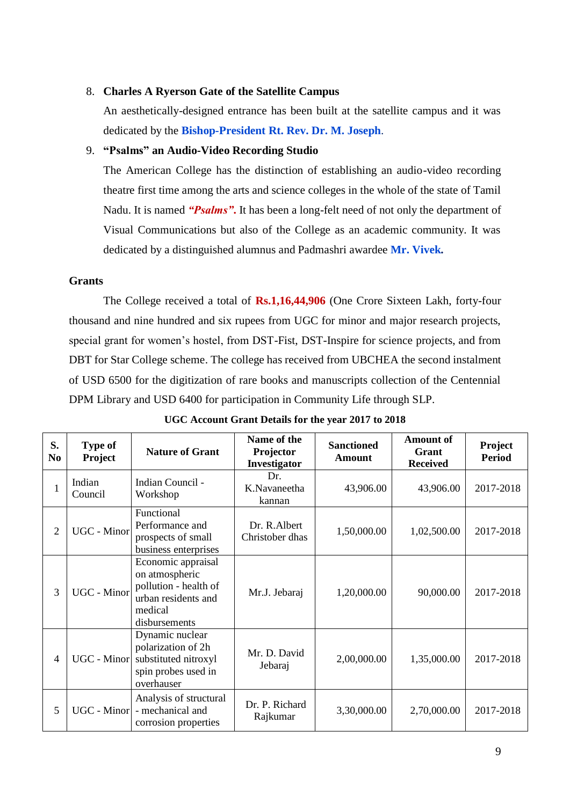# 8. **Charles A Ryerson Gate of the Satellite Campus**

An aesthetically-designed entrance has been built at the satellite campus and it was dedicated by the **Bishop-President Rt. Rev. Dr. M. Joseph**.

## 9. **"Psalms" an Audio-Video Recording Studio**

The American College has the distinction of establishing an audio-video recording theatre first time among the arts and science colleges in the whole of the state of Tamil Nadu. It is named *"Psalms"***.** It has been a long-felt need of not only the department of Visual Communications but also of the College as an academic community. It was dedicated by a distinguished alumnus and Padmashri awardee **Mr. Vivek.**

# **Grants**

The College received a total of **Rs.1,16,44,906** (One Crore Sixteen Lakh, forty-four thousand and nine hundred and six rupees from UGC for minor and major research projects, special grant for women's hostel, from DST-Fist, DST-Inspire for science projects, and from DBT for Star College scheme. The college has received from UBCHEA the second instalment of USD 6500 for the digitization of rare books and manuscripts collection of the Centennial DPM Library and USD 6400 for participation in Community Life through SLP.

| S.<br>N <sub>0</sub> | <b>Type of</b><br><b>Project</b> | <b>Nature of Grant</b>                                                                                           | Name of the<br>Projector<br>Investigator | <b>Sanctioned</b><br>Amount | <b>Amount of</b><br>Grant<br><b>Received</b> | Project<br><b>Period</b> |
|----------------------|----------------------------------|------------------------------------------------------------------------------------------------------------------|------------------------------------------|-----------------------------|----------------------------------------------|--------------------------|
| 1                    | Indian<br>Council                | Indian Council -<br>Workshop                                                                                     | Dr.<br>K.Navaneetha<br>kannan            | 43,906.00                   | 43,906.00                                    | 2017-2018                |
| $\overline{2}$       | UGC - Minor                      | Functional<br>Performance and<br>prospects of small<br>business enterprises                                      | Dr. R.Albert<br>Christober dhas          | 1,50,000.00                 | 1,02,500.00                                  | 2017-2018                |
| 3                    | <b>UGC</b> - Minor               | Economic appraisal<br>on atmospheric<br>pollution - health of<br>urban residents and<br>medical<br>disbursements | Mr.J. Jebaraj                            | 1,20,000.00                 | 90,000.00                                    | 2017-2018                |
| 4                    | UGC - Minor                      | Dynamic nuclear<br>polarization of 2h<br>substituted nitroxyl<br>spin probes used in<br>overhauser               | Mr. D. David<br>Jebaraj                  | 2,00,000.00                 | 1,35,000.00                                  | 2017-2018                |
| 5                    | UGC - Minor                      | Analysis of structural<br>- mechanical and<br>corrosion properties                                               | Dr. P. Richard<br>Rajkumar               | 3,30,000.00                 | 2,70,000.00                                  | 2017-2018                |

**UGC Account Grant Details for the year 2017 to 2018**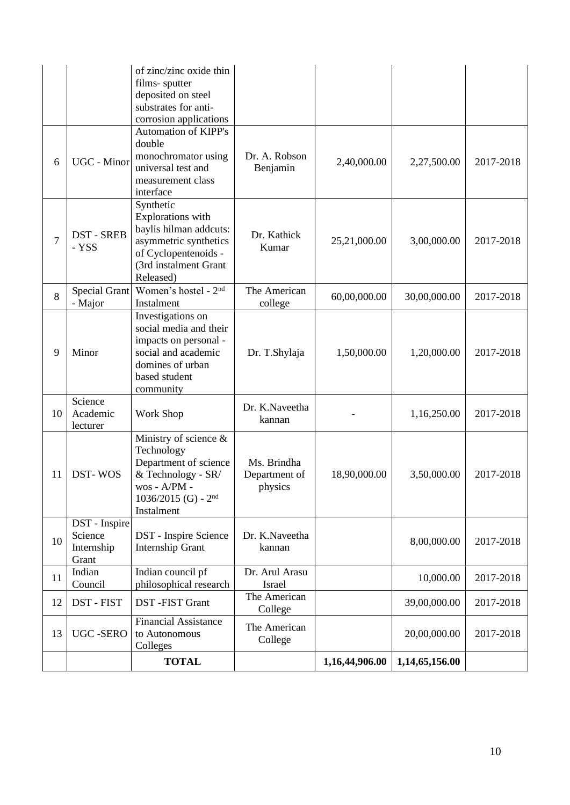|                |                                                 | of zinc/zinc oxide thin<br>films-sputter<br>deposited on steel<br>substrates for anti-<br>corrosion applications                                |                                         |                |                |           |
|----------------|-------------------------------------------------|-------------------------------------------------------------------------------------------------------------------------------------------------|-----------------------------------------|----------------|----------------|-----------|
| 6              | UGC - Minor                                     | <b>Automation of KIPP's</b><br>double<br>monochromator using<br>universal test and<br>measurement class<br>interface                            | Dr. A. Robson<br>Benjamin               | 2,40,000.00    | 2,27,500.00    | 2017-2018 |
| $\overline{7}$ | <b>DST-SREB</b><br>- YSS                        | Synthetic<br>Explorations with<br>baylis hilman addcuts:<br>asymmetric synthetics<br>of Cyclopentenoids -<br>(3rd instalment Grant<br>Released) | Dr. Kathick<br>Kumar                    | 25,21,000.00   | 3,00,000.00    | 2017-2018 |
| 8              | Special Grant<br>- Major                        | Women's hostel - 2 <sup>nd</sup><br>Instalment                                                                                                  | The American<br>college                 | 60,00,000.00   | 30,00,000.00   | 2017-2018 |
| 9              | Minor                                           | Investigations on<br>social media and their<br>impacts on personal -<br>social and academic<br>domines of urban<br>based student<br>community   | Dr. T.Shylaja                           | 1,50,000.00    | 1,20,000.00    | 2017-2018 |
| 10             | Science<br>Academic<br>lecturer                 | Work Shop                                                                                                                                       | Dr. K.Naveetha<br>kannan                |                | 1,16,250.00    | 2017-2018 |
| 11             | DST-WOS                                         | Ministry of science &<br>Technology<br>Department of science<br>& Technology - SR/<br>wos - A/PM -<br>1036/2015 (G) - $2nd$<br>Instalment       | Ms. Brindha<br>Department of<br>physics | 18,90,000.00   | 3,50,000.00    | 2017-2018 |
| 10             | DST - Inspire<br>Science<br>Internship<br>Grant | DST - Inspire Science<br>Internship Grant                                                                                                       | Dr. K.Naveetha<br>kannan                |                | 8,00,000.00    | 2017-2018 |
| 11             | Indian<br>Council                               | Indian council pf<br>philosophical research                                                                                                     | Dr. Arul Arasu<br>Israel                |                | 10,000.00      | 2017-2018 |
| 12             | DST - FIST                                      | DST-FIST Grant                                                                                                                                  | The American<br>College                 |                | 39,00,000.00   | 2017-2018 |
| 13             | <b>UGC-SERO</b>                                 | <b>Financial Assistance</b><br>to Autonomous<br>Colleges                                                                                        | The American<br>College                 |                | 20,00,000.00   | 2017-2018 |
|                |                                                 | <b>TOTAL</b>                                                                                                                                    |                                         | 1,16,44,906.00 | 1,14,65,156.00 |           |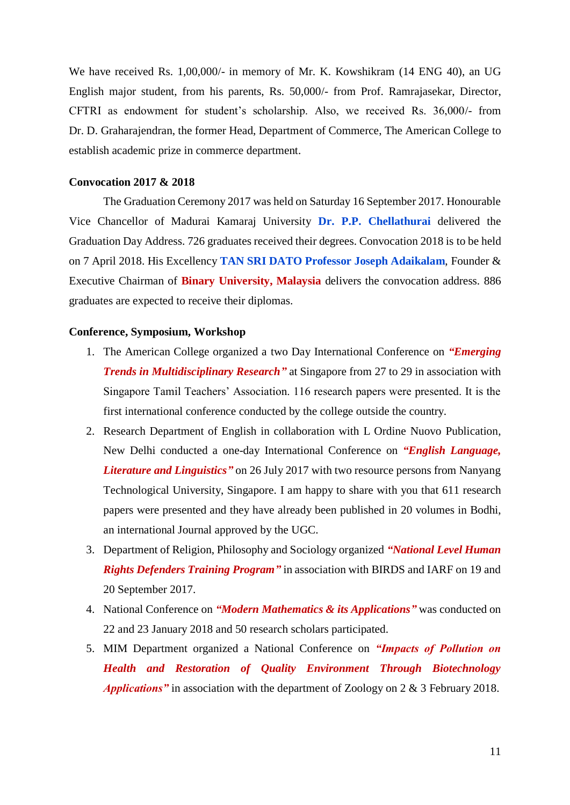We have received Rs. 1,00,000/- in memory of Mr. K. Kowshikram (14 ENG 40), an UG English major student, from his parents, Rs. 50,000/- from Prof. Ramrajasekar, Director, CFTRI as endowment for student's scholarship. Also, we received Rs. 36,000/- from Dr. D. Graharajendran, the former Head, Department of Commerce, The American College to establish academic prize in commerce department.

#### **Convocation 2017 & 2018**

The Graduation Ceremony 2017 was held on Saturday 16 September 2017. Honourable Vice Chancellor of Madurai Kamaraj University **Dr. P.P. Chellathurai** delivered the Graduation Day Address. 726 graduates received their degrees. Convocation 2018 is to be held on 7 April 2018. His Excellency **TAN SRI DATO Professor Joseph Adaikalam**, Founder & Executive Chairman of **Binary University, Malaysia** delivers the convocation address. 886 graduates are expected to receive their diplomas.

## **Conference, Symposium, Workshop**

- 1. The American College organized a two Day International Conference on *"Emerging Trends in Multidisciplinary Research* at Singapore from 27 to 29 in association with Singapore Tamil Teachers' Association. 116 research papers were presented. It is the first international conference conducted by the college outside the country.
- 2. Research Department of English in collaboration with L Ordine Nuovo Publication, New Delhi conducted a one-day International Conference on *"English Language, Literature and Linguistics"* on 26 July 2017 with two resource persons from Nanyang Technological University, Singapore. I am happy to share with you that 611 research papers were presented and they have already been published in 20 volumes in Bodhi, an international Journal approved by the UGC.
- 3. Department of Religion, Philosophy and Sociology organized *"National Level Human Rights Defenders Training Program"* in association with BIRDS and IARF on 19 and 20 September 2017.
- 4. National Conference on *"Modern Mathematics & its Applications"* was conducted on 22 and 23 January 2018 and 50 research scholars participated.
- 5. MIM Department organized a National Conference on *"Impacts of Pollution on Health and Restoration of Quality Environment Through Biotechnology Applications"* in association with the department of Zoology on 2 & 3 February 2018.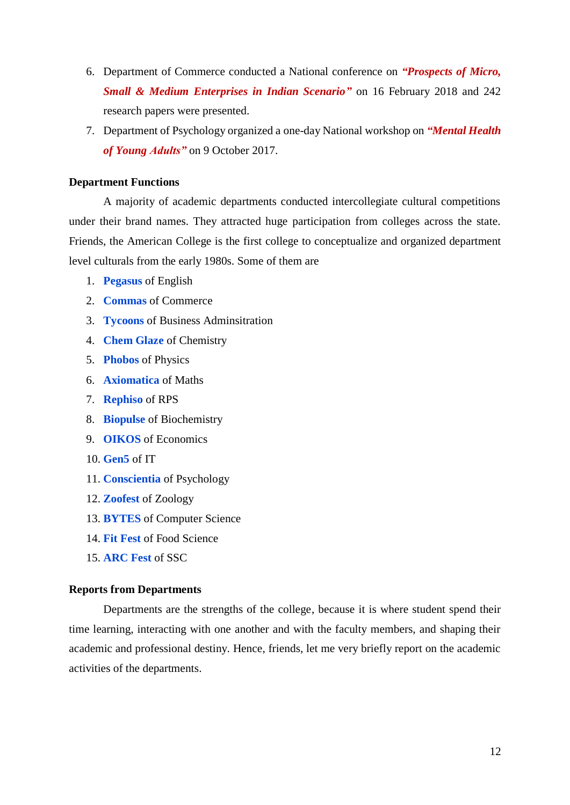- 6. Department of Commerce conducted a National conference on *"Prospects of Micro, Small & Medium Enterprises in Indian Scenario"* on 16 February 2018 and 242 research papers were presented.
- 7. Department of Psychology organized a one-day National workshop on *"Mental Health of Young Adults"* on 9 October 2017.

# **Department Functions**

A majority of academic departments conducted intercollegiate cultural competitions under their brand names. They attracted huge participation from colleges across the state. Friends, the American College is the first college to conceptualize and organized department level culturals from the early 1980s. Some of them are

- 1. **Pegasus** of English
- 2. **Commas** of Commerce
- 3. **Tycoons** of Business Adminsitration
- 4. **Chem Glaze** of Chemistry
- 5. **Phobos** of Physics
- 6. **Axiomatica** of Maths
- 7. **Rephiso** of RPS
- 8. **Biopulse** of Biochemistry
- 9. **OIKOS** of Economics
- 10. **Gen5** of IT
- 11. **Conscientia** of Psychology
- 12. **Zoofest** of Zoology
- 13. **BYTES** of Computer Science
- 14. **Fit Fest** of Food Science
- 15. **ARC Fest** of SSC

# **Reports from Departments**

Departments are the strengths of the college, because it is where student spend their time learning, interacting with one another and with the faculty members, and shaping their academic and professional destiny. Hence, friends, let me very briefly report on the academic activities of the departments.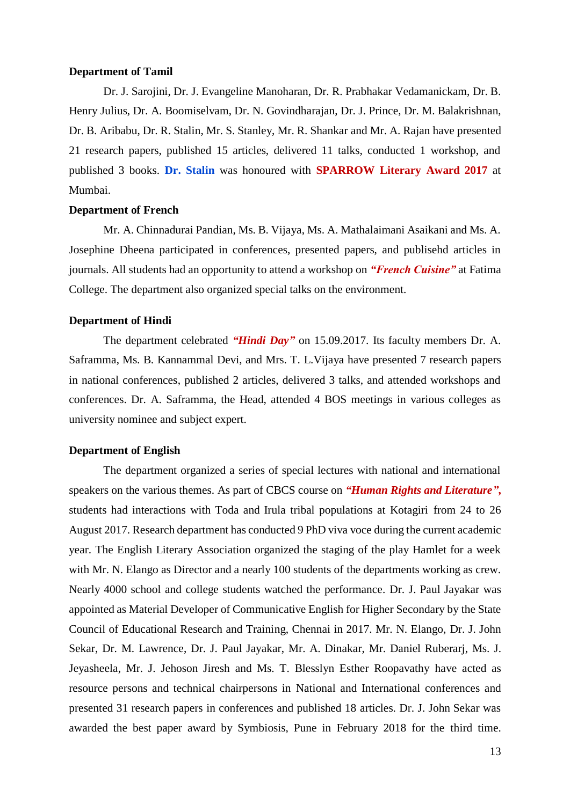# **Department of Tamil**

Dr. J. Sarojini, Dr. J. Evangeline Manoharan, Dr. R. Prabhakar Vedamanickam, Dr. B. Henry Julius, Dr. A. Boomiselvam, Dr. N. Govindharajan, Dr. J. Prince, Dr. M. Balakrishnan, Dr. B. Aribabu, Dr. R. Stalin, Mr. S. Stanley, Mr. R. Shankar and Mr. A. Rajan have presented 21 research papers, published 15 articles, delivered 11 talks, conducted 1 workshop, and published 3 books. **Dr. Stalin** was honoured with **SPARROW Literary Award 2017** at Mumbai.

#### **Department of French**

Mr. A. Chinnadurai Pandian, Ms. B. Vijaya, Ms. A. Mathalaimani Asaikani and Ms. A. Josephine Dheena participated in conferences, presented papers, and publisehd articles in journals. All students had an opportunity to attend a workshop on *"French Cuisine"* at Fatima College. The department also organized special talks on the environment.

## **Department of Hindi**

The department celebrated *"Hindi Day"* on 15.09.2017. Its faculty members Dr. A. Saframma, Ms. B. Kannammal Devi, and Mrs. T. L.Vijaya have presented 7 research papers in national conferences, published 2 articles, delivered 3 talks, and attended workshops and conferences. Dr. A. Saframma, the Head, attended 4 BOS meetings in various colleges as university nominee and subject expert.

## **Department of English**

The department organized a series of special lectures with national and international speakers on the various themes. As part of CBCS course on *"Human Rights and Literature"***,** students had interactions with Toda and Irula tribal populations at Kotagiri from 24 to 26 August 2017. Research department has conducted 9 PhD viva voce during the current academic year. The English Literary Association organized the staging of the play Hamlet for a week with Mr. N. Elango as Director and a nearly 100 students of the departments working as crew. Nearly 4000 school and college students watched the performance. Dr. J. Paul Jayakar was appointed as Material Developer of Communicative English for Higher Secondary by the State Council of Educational Research and Training, Chennai in 2017. Mr. N. Elango, Dr. J. John Sekar, Dr. M. Lawrence, Dr. J. Paul Jayakar, Mr. A. Dinakar, Mr. Daniel Ruberarj, Ms. J. Jeyasheela, Mr. J. Jehoson Jiresh and Ms. T. Blesslyn Esther Roopavathy have acted as resource persons and technical chairpersons in National and International conferences and presented 31 research papers in conferences and published 18 articles. Dr. J. John Sekar was awarded the best paper award by Symbiosis, Pune in February 2018 for the third time.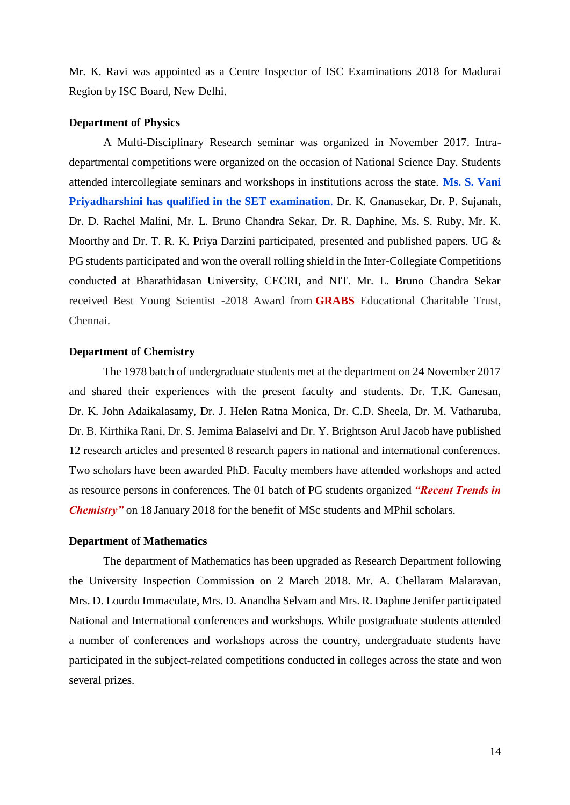Mr. K. Ravi was appointed as a Centre Inspector of ISC Examinations 2018 for Madurai Region by ISC Board, New Delhi.

## **Department of Physics**

A Multi-Disciplinary Research seminar was organized in November 2017. Intradepartmental competitions were organized on the occasion of National Science Day. Students attended intercollegiate seminars and workshops in institutions across the state. **Ms. S. Vani Priyadharshini has qualified in the SET examination**. Dr. K. Gnanasekar, Dr. P. Sujanah, Dr. D. Rachel Malini, Mr. L. Bruno Chandra Sekar, Dr. R. Daphine, Ms. S. Ruby, Mr. K. Moorthy and Dr. T. R. K. Priya Darzini participated, presented and published papers. UG & PG students participated and won the overall rolling shield in the Inter-Collegiate Competitions conducted at Bharathidasan University, CECRI, and NIT. Mr. L. Bruno Chandra Sekar received Best Young Scientist -2018 Award from **GRABS** Educational Charitable Trust, Chennai.

## **Department of Chemistry**

The 1978 batch of undergraduate students met at the department on 24 November 2017 and shared their experiences with the present faculty and students. Dr. T.K. Ganesan, Dr. K. John Adaikalasamy, Dr. J. Helen Ratna Monica, Dr. C.D. Sheela, Dr. M. Vatharuba, Dr. B. Kirthika Rani, Dr. S. Jemima Balaselvi and Dr. Y. Brightson Arul Jacob have published 12 research articles and presented 8 research papers in national and international conferences. Two scholars have been awarded PhD. Faculty members have attended workshops and acted as resource persons in conferences. The 01 batch of PG students organized *"Recent Trends in Chemistry"* on 18 January 2018 for the benefit of MSc students and MPhil scholars.

## **Department of Mathematics**

The department of Mathematics has been upgraded as Research Department following the University Inspection Commission on 2 March 2018. Mr. A. Chellaram Malaravan, Mrs. D. Lourdu Immaculate, Mrs. D. Anandha Selvam and Mrs. R. Daphne Jenifer participated National and International conferences and workshops. While postgraduate students attended a number of conferences and workshops across the country, undergraduate students have participated in the subject-related competitions conducted in colleges across the state and won several prizes.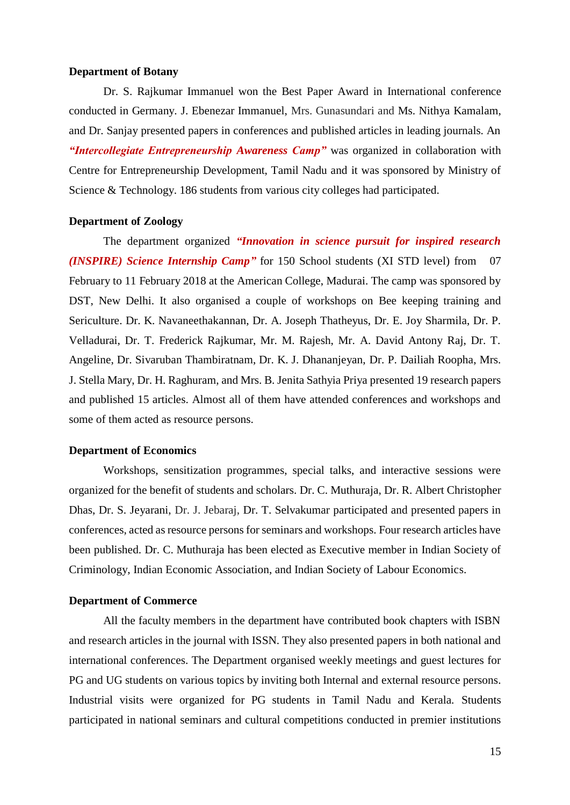# **Department of Botany**

Dr. S. Rajkumar Immanuel won the Best Paper Award in International conference conducted in Germany. J. Ebenezar Immanuel, Mrs. Gunasundari and Ms. Nithya Kamalam, and Dr. Sanjay presented papers in conferences and published articles in leading journals. An *"Intercollegiate Entrepreneurship Awareness Camp"* was organized in collaboration with Centre for Entrepreneurship Development, Tamil Nadu and it was sponsored by Ministry of Science & Technology. 186 students from various city colleges had participated.

## **Department of Zoology**

The department organized *"Innovation in science pursuit for inspired research (INSPIRE) Science Internship Camp"* for 150 School students (XI STD level) from 07 February to 11 February 2018 at the American College, Madurai. The camp was sponsored by DST, New Delhi. It also organised a couple of workshops on Bee keeping training and Sericulture. Dr. K. Navaneethakannan, Dr. A. Joseph Thatheyus, Dr. E. Joy Sharmila, Dr. P. Velladurai, Dr. T. Frederick Rajkumar, Mr. M. Rajesh, Mr. A. David Antony Raj, Dr. T. Angeline, Dr. Sivaruban Thambiratnam, Dr. K. J. Dhananjeyan, Dr. P. Dailiah Roopha, Mrs. J. Stella Mary, Dr. H. Raghuram, and Mrs. B. Jenita Sathyia Priya presented 19 research papers and published 15 articles. Almost all of them have attended conferences and workshops and some of them acted as resource persons.

#### **Department of Economics**

Workshops, sensitization programmes, special talks, and interactive sessions were organized for the benefit of students and scholars. Dr. C. Muthuraja, Dr. R. Albert Christopher Dhas, Dr. S. Jeyarani, Dr. J. Jebaraj, Dr. T. Selvakumar participated and presented papers in conferences, acted as resource persons for seminars and workshops. Four research articles have been published. Dr. C. Muthuraja has been elected as Executive member in Indian Society of Criminology, Indian Economic Association, and Indian Society of Labour Economics.

#### **Department of Commerce**

All the faculty members in the department have contributed book chapters with ISBN and research articles in the journal with ISSN. They also presented papers in both national and international conferences. The Department organised weekly meetings and guest lectures for PG and UG students on various topics by inviting both Internal and external resource persons. Industrial visits were organized for PG students in Tamil Nadu and Kerala. Students participated in national seminars and cultural competitions conducted in premier institutions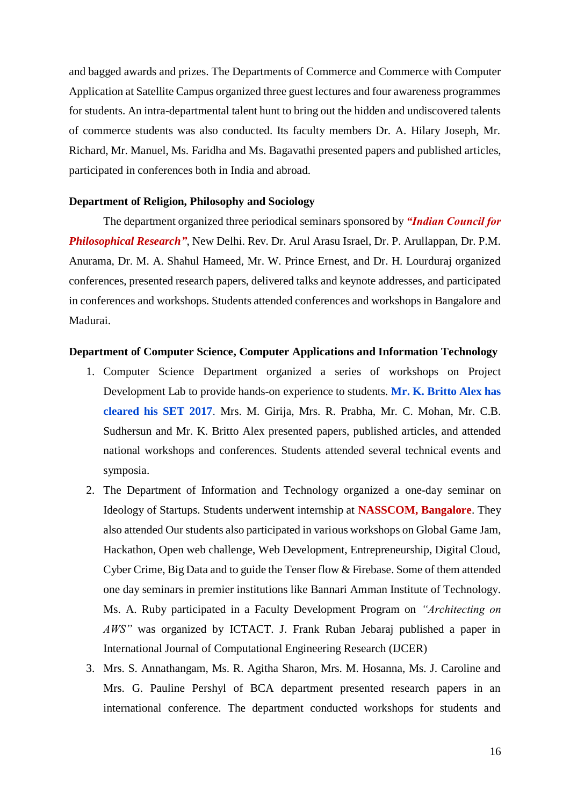and bagged awards and prizes. The Departments of Commerce and Commerce with Computer Application at Satellite Campus organized three guest lectures and four awareness programmes for students. An intra-departmental talent hunt to bring out the hidden and undiscovered talents of commerce students was also conducted. Its faculty members Dr. A. Hilary Joseph, Mr. Richard, Mr. Manuel, Ms. Faridha and Ms. Bagavathi presented papers and published articles, participated in conferences both in India and abroad.

## **Department of Religion, Philosophy and Sociology**

The department organized three periodical seminars sponsored by *"Indian Council for Philosophical Research"*, New Delhi. Rev. Dr. Arul Arasu Israel, Dr. P. Arullappan, Dr. P.M. Anurama, Dr. M. A. Shahul Hameed, Mr. W. Prince Ernest, and Dr. H. Lourduraj organized conferences, presented research papers, delivered talks and keynote addresses, and participated in conferences and workshops. Students attended conferences and workshops in Bangalore and Madurai.

## **Department of Computer Science, Computer Applications and Information Technology**

- 1. Computer Science Department organized a series of workshops on Project Development Lab to provide hands-on experience to students. **Mr. K. Britto Alex has cleared his SET 2017**. Mrs. M. Girija, Mrs. R. Prabha, Mr. C. Mohan, Mr. C.B. Sudhersun and Mr. K. Britto Alex presented papers, published articles, and attended national workshops and conferences. Students attended several technical events and symposia.
- 2. The Department of Information and Technology organized a one-day seminar on Ideology of Startups. Students underwent internship at **NASSCOM, Bangalore**. They also attended Our students also participated in various workshops on Global Game Jam, Hackathon, Open web challenge, Web Development, Entrepreneurship, Digital Cloud, Cyber Crime, Big Data and to guide the Tenser flow & Firebase. Some of them attended one day seminars in premier institutions like Bannari Amman Institute of Technology. Ms. A. Ruby participated in a Faculty Development Program on *"Architecting on AWS"* was organized by ICTACT. J. Frank Ruban Jebaraj published a paper in International Journal of Computational Engineering Research (IJCER)
- 3. Mrs. S. Annathangam, Ms. R. Agitha Sharon, Mrs. M. Hosanna, Ms. J. Caroline and Mrs. G. Pauline Pershyl of BCA department presented research papers in an international conference. The department conducted workshops for students and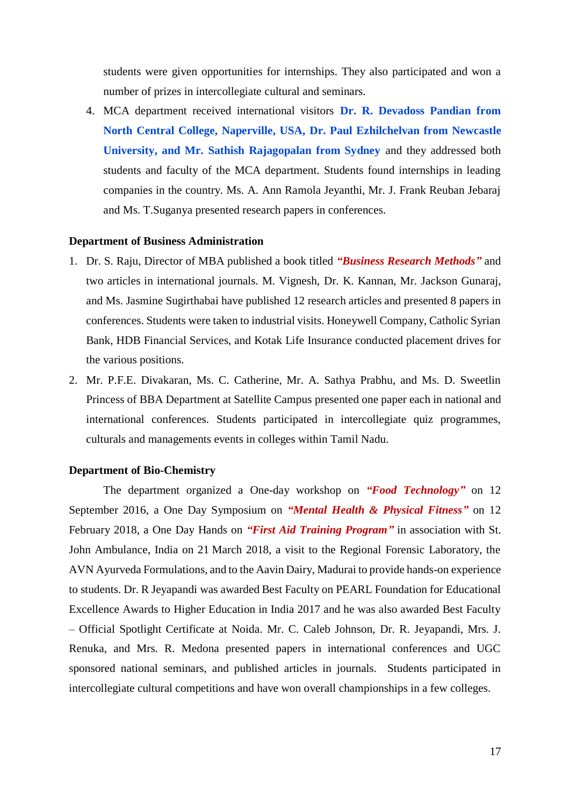students were given opportunities for internships. They also participated and won a number of prizes in intercollegiate cultural and seminars.

4. MCA department received international visitors **Dr. R. Devadoss Pandian from North Central College, Naperville, USA, Dr. Paul Ezhilchelvan from Newcastle University, and Mr. Sathish Rajagopalan from Sydney** and they addressed both students and faculty of the MCA department. Students found internships in leading companies in the country. Ms. A. Ann Ramola Jeyanthi, Mr. J. Frank Reuban Jebaraj and Ms. T.Suganya presented research papers in conferences.

## **Department of Business Administration**

- 1. Dr. S. Raju, Director of MBA published a book titled *"Business Research Methods"* and two articles in international journals. M. Vignesh, Dr. K. Kannan, Mr. Jackson Gunaraj, and Ms. Jasmine Sugirthabai have published 12 research articles and presented 8 papers in conferences. Students were taken to industrial visits. Honeywell Company, Catholic Syrian Bank, HDB Financial Services, and Kotak Life Insurance conducted placement drives for the various positions.
- 2. Mr. P.F.E. Divakaran, Ms. C. Catherine, Mr. A. Sathya Prabhu, and Ms. D. Sweetlin Princess of BBA Department at Satellite Campus presented one paper each in national and international conferences. Students participated in intercollegiate quiz programmes, culturals and managements events in colleges within Tamil Nadu.

#### **Department of Bio-Chemistry**

The department organized a One-day workshop on *"Food Technology"* on 12 September 2016, a One Day Symposium on *"Mental Health & Physical Fitness"* on 12 February 2018, a One Day Hands on *"First Aid Training Program"* in association with St. John Ambulance, India on 21 March 2018, a visit to the Regional Forensic Laboratory, the AVN Ayurveda Formulations, and to the Aavin Dairy, Madurai to provide hands-on experience to students. Dr. R Jeyapandi was awarded Best Faculty on PEARL Foundation for Educational Excellence Awards to Higher Education in India 2017 and he was also awarded Best Faculty – Official Spotlight Certificate at Noida. Mr. C. Caleb Johnson, Dr. R. Jeyapandi, Mrs. J. Renuka, and Mrs. R. Medona presented papers in international conferences and UGC sponsored national seminars, and published articles in journals. Students participated in intercollegiate cultural competitions and have won overall championships in a few colleges.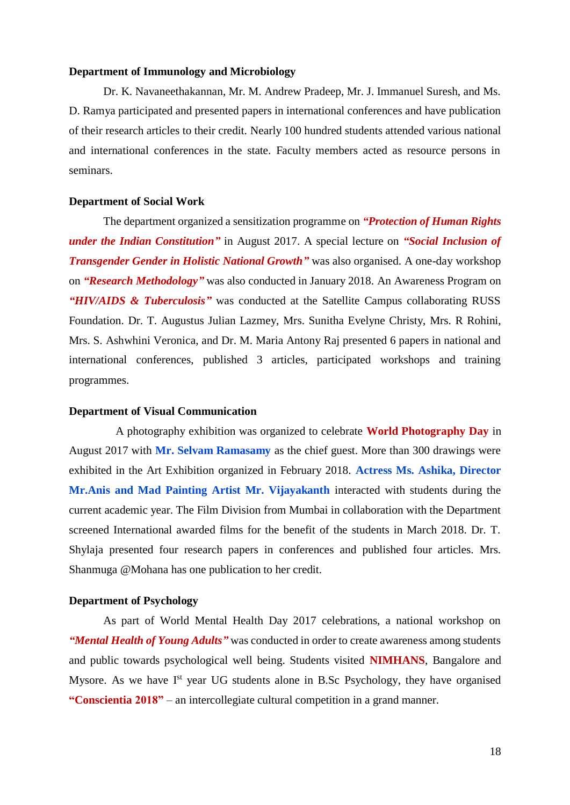## **Department of Immunology and Microbiology**

Dr. K. Navaneethakannan, Mr. M. Andrew Pradeep, Mr. J. Immanuel Suresh, and Ms. D. Ramya participated and presented papers in international conferences and have publication of their research articles to their credit. Nearly 100 hundred students attended various national and international conferences in the state. Faculty members acted as resource persons in seminars.

## **Department of Social Work**

The department organized a sensitization programme on *"Protection of Human Rights under the Indian Constitution"* in August 2017. A special lecture on *"Social Inclusion of Transgender Gender in Holistic National Growth"* was also organised. A one-day workshop on *"Research Methodology"* was also conducted in January 2018. An Awareness Program on *"HIV/AIDS & Tuberculosis"* was conducted at the Satellite Campus collaborating RUSS Foundation. Dr. T. Augustus Julian Lazmey, Mrs. Sunitha Evelyne Christy, Mrs. R Rohini, Mrs. S. Ashwhini Veronica, and Dr. M. Maria Antony Raj presented 6 papers in national and international conferences, published 3 articles, participated workshops and training programmes.

#### **Department of Visual Communication**

A photography exhibition was organized to celebrate **World Photography Day** in August 2017 with **Mr. Selvam Ramasamy** as the chief guest. More than 300 drawings were exhibited in the Art Exhibition organized in February 2018. **Actress Ms. Ashika, Director Mr.Anis and Mad Painting Artist Mr. Vijayakanth** interacted with students during the current academic year. The Film Division from Mumbai in collaboration with the Department screened International awarded films for the benefit of the students in March 2018. Dr. T. Shylaja presented four research papers in conferences and published four articles. Mrs. Shanmuga @Mohana has one publication to her credit.

#### **Department of Psychology**

As part of World Mental Health Day 2017 celebrations, a national workshop on *"Mental Health of Young Adults"* was conducted in order to create awareness among students and public towards psychological well being. Students visited **NIMHANS**, Bangalore and Mysore. As we have  $I<sup>st</sup>$  year UG students alone in B.Sc Psychology, they have organised **"Conscientia 2018"** – an intercollegiate cultural competition in a grand manner.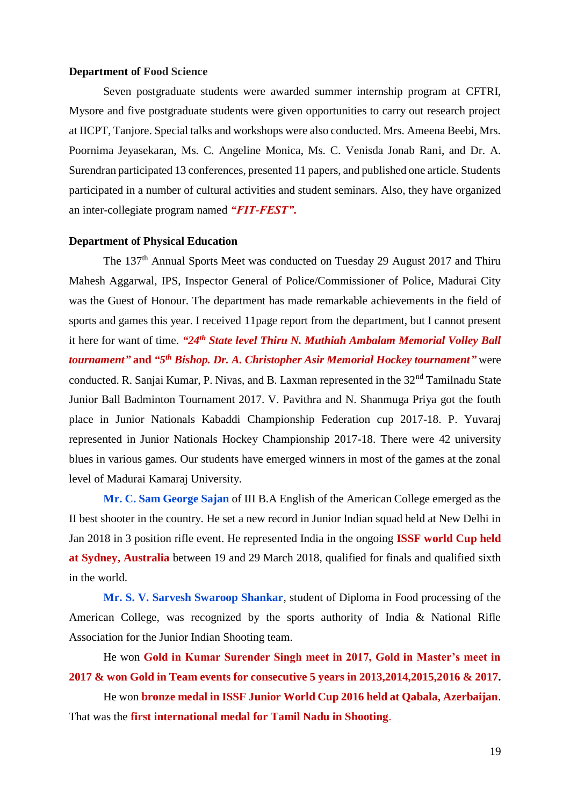# **Department of Food Science**

Seven postgraduate students were awarded summer internship program at CFTRI, Mysore and five postgraduate students were given opportunities to carry out research project at IICPT, Tanjore. Special talks and workshops were also conducted. Mrs. Ameena Beebi, Mrs. Poornima Jeyasekaran, Ms. C. Angeline Monica, Ms. C. Venisda Jonab Rani, and Dr. A. Surendran participated 13 conferences, presented 11 papers, and published one article. Students participated in a number of cultural activities and student seminars. Also, they have organized an inter-collegiate program named *"FIT-FEST"***.**

#### **Department of Physical Education**

The 137th Annual Sports Meet was conducted on Tuesday 29 August 2017 and Thiru Mahesh Aggarwal, IPS, Inspector General of Police/Commissioner of Police, Madurai City was the Guest of Honour. The department has made remarkable achievements in the field of sports and games this year. I received 11page report from the department, but I cannot present it here for want of time. *"24th State level Thiru N. Muthiah Ambalam Memorial Volley Ball tournament*" and "5<sup>th</sup> Bishop. Dr. A. Christopher Asir Memorial Hockey tournament" were conducted. R. Sanjai Kumar, P. Nivas, and B. Laxman represented in the 32<sup>nd</sup> Tamilnadu State Junior Ball Badminton Tournament 2017. V. Pavithra and N. Shanmuga Priya got the fouth place in Junior Nationals Kabaddi Championship Federation cup 2017-18. P. Yuvaraj represented in Junior Nationals Hockey Championship 2017-18. There were 42 university blues in various games. Our students have emerged winners in most of the games at the zonal level of Madurai Kamaraj University.

**Mr. C. Sam George Sajan** of III B.A English of the American College emerged as the II best shooter in the country. He set a new record in Junior Indian squad held at New Delhi in Jan 2018 in 3 position rifle event. He represented India in the ongoing **ISSF world Cup held at Sydney, Australia** between 19 and 29 March 2018, qualified for finals and qualified sixth in the world.

**Mr. S. V. Sarvesh Swaroop Shankar**, student of Diploma in Food processing of the American College, was recognized by the sports authority of India & National Rifle Association for the Junior Indian Shooting team.

He won **Gold in Kumar Surender Singh meet in 2017, Gold in Master's meet in 2017 & won Gold in Team events for consecutive 5 years in 2013,2014,2015,2016 & 2017.**

He won **bronze medal in ISSF Junior World Cup 2016 held at Qabala, Azerbaijan**. That was the **first international medal for Tamil Nadu in Shooting**.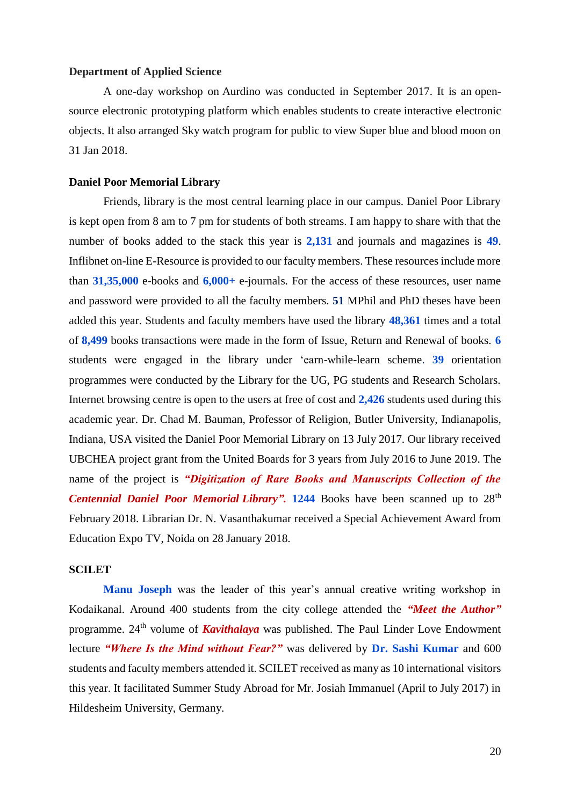# **Department of Applied Science**

A one-day workshop on Aurdino was conducted in September 2017. It is an opensource electronic prototyping platform which enables students to create interactive electronic objects. It also arranged Sky watch program for public to view Super blue and blood moon on 31 Jan 2018.

## **Daniel Poor Memorial Library**

Friends, library is the most central learning place in our campus. Daniel Poor Library is kept open from 8 am to 7 pm for students of both streams. I am happy to share with that the number of books added to the stack this year is **2,131** and journals and magazines is **49**. Inflibnet on-line E-Resource is provided to our faculty members. These resources include more than **31,35,000** e-books and **6,000+** e-journals. For the access of these resources, user name and password were provided to all the faculty members. **51** MPhil and PhD theses have been added this year. Students and faculty members have used the library **48,361** times and a total of **8,499** books transactions were made in the form of Issue, Return and Renewal of books. **6** students were engaged in the library under 'earn-while-learn scheme. **39** orientation programmes were conducted by the Library for the UG, PG students and Research Scholars. Internet browsing centre is open to the users at free of cost and **2,426** students used during this academic year. Dr. Chad M. Bauman, Professor of Religion, Butler University, Indianapolis, Indiana, USA visited the Daniel Poor Memorial Library on 13 July 2017. Our library received UBCHEA project grant from the United Boards for 3 years from July 2016 to June 2019. The name of the project is *"Digitization of Rare Books and Manuscripts Collection of the Centennial Daniel Poor Memorial Library".* 1244 Books have been scanned up to 28<sup>th</sup> February 2018. Librarian Dr. N. Vasanthakumar received a Special Achievement Award from Education Expo TV, Noida on 28 January 2018.

# **SCILET**

**Manu Joseph** was the leader of this year's annual creative writing workshop in Kodaikanal. Around 400 students from the city college attended the *"Meet the Author"* programme. 24th volume of *Kavithalaya* was published. The Paul Linder Love Endowment lecture *"Where Is the Mind without Fear?"* was delivered by **Dr. Sashi Kumar** and 600 students and faculty members attended it. SCILET received as many as 10 international visitors this year. It facilitated Summer Study Abroad for Mr. Josiah Immanuel (April to July 2017) in Hildesheim University, Germany.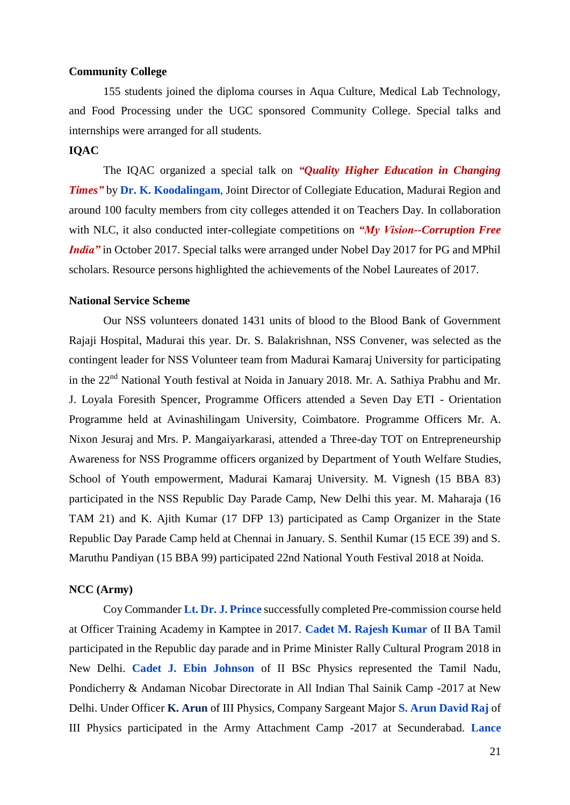# **Community College**

155 students joined the diploma courses in Aqua Culture, Medical Lab Technology, and Food Processing under the UGC sponsored Community College. Special talks and internships were arranged for all students.

# **IQAC**

The IQAC organized a special talk on *"Quality Higher Education in Changing Times"* by **Dr. K. Koodalingam**, Joint Director of Collegiate Education, Madurai Region and around 100 faculty members from city colleges attended it on Teachers Day. In collaboration with NLC, it also conducted inter-collegiate competitions on *"My Vision--Corruption Free India*" in October 2017. Special talks were arranged under Nobel Day 2017 for PG and MPhil scholars. Resource persons highlighted the achievements of the Nobel Laureates of 2017.

## **National Service Scheme**

Our NSS volunteers donated 1431 units of blood to the Blood Bank of Government Rajaji Hospital, Madurai this year. Dr. S. Balakrishnan, NSS Convener, was selected as the contingent leader for NSS Volunteer team from Madurai Kamaraj University for participating in the 22nd National Youth festival at Noida in January 2018. Mr. A. Sathiya Prabhu and Mr. J. Loyala Foresith Spencer, Programme Officers attended a Seven Day ETI - Orientation Programme held at Avinashilingam University, Coimbatore. Programme Officers Mr. A. Nixon Jesuraj and Mrs. P. Mangaiyarkarasi, attended a Three-day TOT on Entrepreneurship Awareness for NSS Programme officers organized by Department of Youth Welfare Studies, School of Youth empowerment, Madurai Kamaraj University. M. Vignesh (15 BBA 83) participated in the NSS Republic Day Parade Camp, New Delhi this year. M. Maharaja (16 TAM 21) and K. Ajith Kumar (17 DFP 13) participated as Camp Organizer in the State Republic Day Parade Camp held at Chennai in January. S. Senthil Kumar (15 ECE 39) and S. Maruthu Pandiyan (15 BBA 99) participated 22nd National Youth Festival 2018 at Noida.

## **NCC (Army)**

Coy Commander **Lt. Dr. J. Prince** successfully completed Pre-commission course held at Officer Training Academy in Kamptee in 2017. **Cadet M. Rajesh Kumar** of II BA Tamil participated in the Republic day parade and in Prime Minister Rally Cultural Program 2018 in New Delhi. **Cadet J. Ebin Johnson** of II BSc Physics represented the Tamil Nadu, Pondicherry & Andaman Nicobar Directorate in All Indian Thal Sainik Camp -2017 at New Delhi. Under Officer **K. Arun** of III Physics, Company Sargeant Major **S. Arun David Raj** of III Physics participated in the Army Attachment Camp -2017 at Secunderabad. **Lance**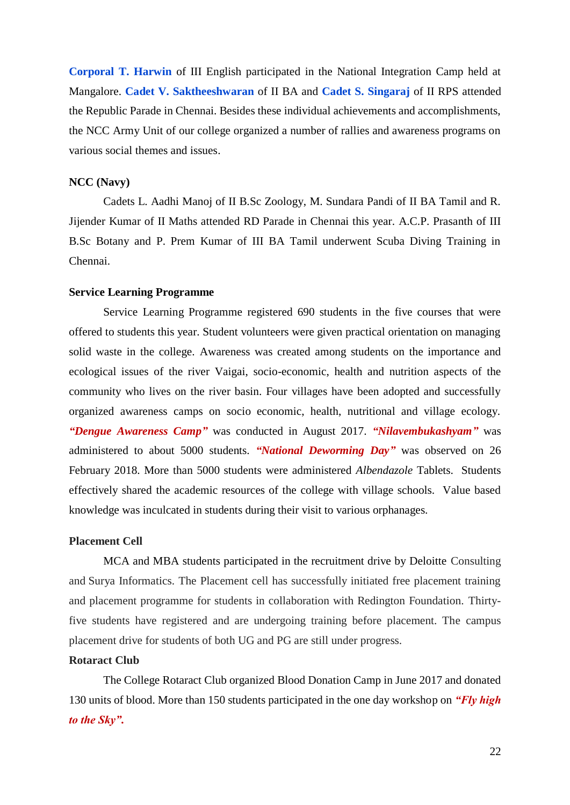**Corporal T. Harwin** of III English participated in the National Integration Camp held at Mangalore. **Cadet V. Saktheeshwaran** of II BA and **Cadet S. Singaraj** of II RPS attended the Republic Parade in Chennai. Besides these individual achievements and accomplishments, the NCC Army Unit of our college organized a number of rallies and awareness programs on various social themes and issues.

## **NCC (Navy)**

Cadets L. Aadhi Manoj of II B.Sc Zoology, M. Sundara Pandi of II BA Tamil and R. Jijender Kumar of II Maths attended RD Parade in Chennai this year. A.C.P. Prasanth of III B.Sc Botany and P. Prem Kumar of III BA Tamil underwent Scuba Diving Training in Chennai.

## **Service Learning Programme**

Service Learning Programme registered 690 students in the five courses that were offered to students this year. Student volunteers were given practical orientation on managing solid waste in the college. Awareness was created among students on the importance and ecological issues of the river Vaigai, socio-economic, health and nutrition aspects of the community who lives on the river basin. Four villages have been adopted and successfully organized awareness camps on socio economic, health, nutritional and village ecology. *"Dengue Awareness Camp"* was conducted in August 2017. *"Nilavembukashyam"* was administered to about 5000 students. *"National Deworming Day"* was observed on 26 February 2018. More than 5000 students were administered *Albendazole* Tablets. Students effectively shared the academic resources of the college with village schools. Value based knowledge was inculcated in students during their visit to various orphanages.

## **Placement Cell**

MCA and MBA students participated in the recruitment drive by Deloitte Consulting and Surya Informatics. The Placement cell has successfully initiated free placement training and placement programme for students in collaboration with Redington Foundation. Thirtyfive students have registered and are undergoing training before placement. The campus placement drive for students of both UG and PG are still under progress.

## **Rotaract Club**

The College Rotaract Club organized Blood Donation Camp in June 2017 and donated 130 units of blood. More than 150 students participated in the one day workshop on *"Fly high to the Sky".*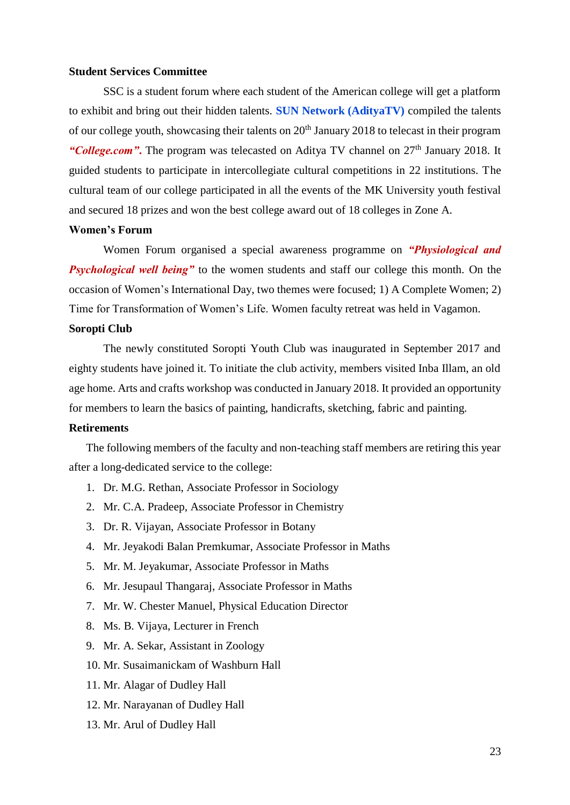# **Student Services Committee**

SSC is a student forum where each student of the American college will get a platform to exhibit and bring out their hidden talents. **SUN Network (AdityaTV)** compiled the talents of our college youth, showcasing their talents on  $20<sup>th</sup>$  January 2018 to telecast in their program *"College.com"*. The program was telecasted on Aditya TV channel on 27<sup>th</sup> January 2018. It guided students to participate in intercollegiate cultural competitions in 22 institutions. The cultural team of our college participated in all the events of the MK University youth festival and secured 18 prizes and won the best college award out of 18 colleges in Zone A.

# **Women's Forum**

Women Forum organised a special awareness programme on *"Physiological and Psychological well being* to the women students and staff our college this month. On the occasion of Women's International Day, two themes were focused; 1) A Complete Women; 2) Time for Transformation of Women's Life. Women faculty retreat was held in Vagamon.

#### **Soropti Club**

The newly constituted Soropti Youth Club was inaugurated in September 2017 and eighty students have joined it. To initiate the club activity, members visited Inba Illam, an old age home. Arts and crafts workshop was conducted in January 2018. It provided an opportunity for members to learn the basics of painting, handicrafts, sketching, fabric and painting.

#### **Retirements**

The following members of the faculty and non-teaching staff members are retiring this year after a long-dedicated service to the college:

- 1. Dr. M.G. Rethan, Associate Professor in Sociology
- 2. Mr. C.A. Pradeep, Associate Professor in Chemistry
- 3. Dr. R. Vijayan, Associate Professor in Botany
- 4. Mr. Jeyakodi Balan Premkumar, Associate Professor in Maths
- 5. Mr. M. Jeyakumar, Associate Professor in Maths
- 6. Mr. Jesupaul Thangaraj, Associate Professor in Maths
- 7. Mr. W. Chester Manuel, Physical Education Director
- 8. Ms. B. Vijaya, Lecturer in French
- 9. Mr. A. Sekar, Assistant in Zoology
- 10. Mr. Susaimanickam of Washburn Hall
- 11. Mr. Alagar of Dudley Hall
- 12. Mr. Narayanan of Dudley Hall
- 13. Mr. Arul of Dudley Hall